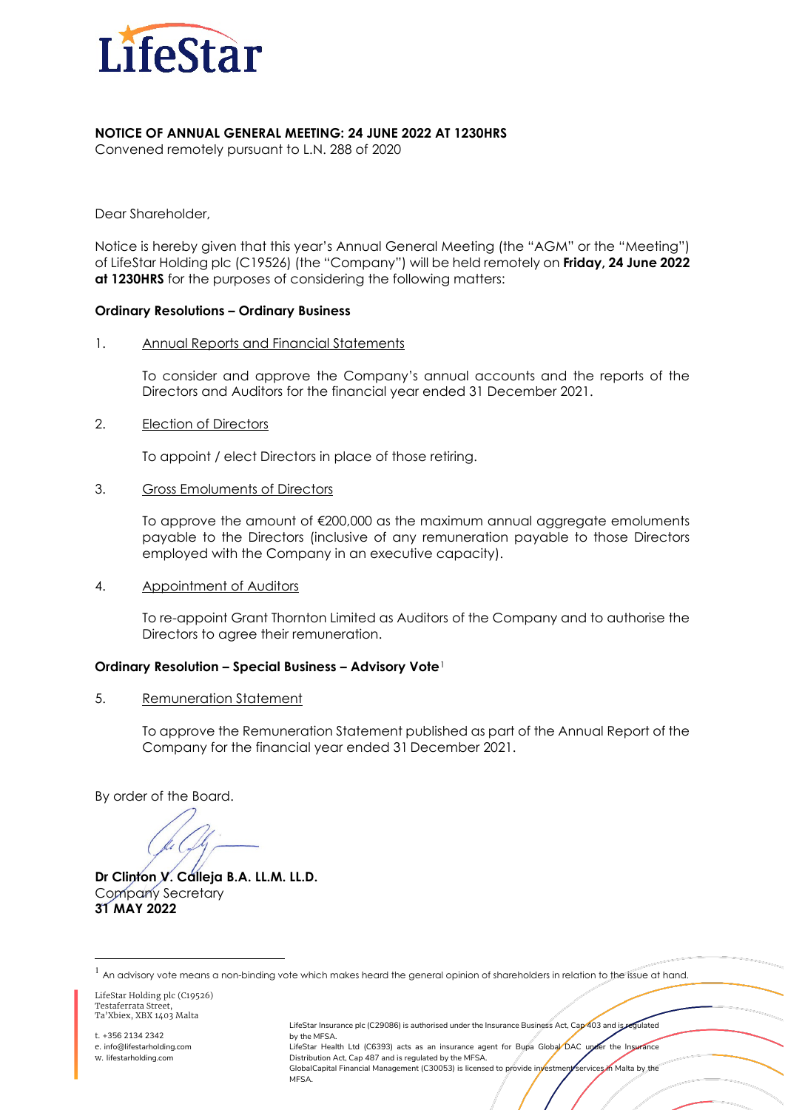

### **NOTICE OF ANNUAL GENERAL MEETING: 24 JUNE 2022 AT 1230HRS**

Convened remotely pursuant to L.N. 288 of 2020

Dear Shareholder,

Notice is hereby given that this year's Annual General Meeting (the "AGM" or the "Meeting") of LifeStar Holding plc (C19526) (the "Company") will be held remotely on **Friday, 24 June 2022 at 1230HRS** for the purposes of considering the following matters:

#### **Ordinary Resolutions – Ordinary Business**

1. Annual Reports and Financial Statements

To consider and approve the Company's annual accounts and the reports of the Directors and Auditors for the financial year ended 31 December 2021.

2. **Election of Directors** 

To appoint / elect Directors in place of those retiring.

3. Gross Emoluments of Directors

To approve the amount of €200,000 as the maximum annual aggregate emoluments payable to the Directors (inclusive of any remuneration payable to those Directors employed with the Company in an executive capacity).

4. Appointment of Auditors

To re-appoint Grant Thornton Limited as Auditors of the Company and to authorise the Directors to agree their remuneration.

### **Ordinary Resolution – Special Business – Advisory Vote**[1](#page-0-0)

5. Remuneration Statement

To approve the Remuneration Statement published as part of the Annual Report of the Company for the financial year ended 31 December 2021.

By order of the Board.

**Dr Clinton V. Calleja B.A. LL.M. LL.D.** Company Secretary **31 MAY 2022**

LifeStar Holding plc (C19526) Testaferrata Street, Ta'Xbiex, XBX 1403 Malta

t. +356 2134 2342 e. info@lifestarholding.com w. lifestarholding.com

LifeStar Insurance plc (C29086) is authorised under the Insurance Business Act, Cap 403 and is regulated by the MFSA. LifeStar Health Ltd (C6393) acts as an insurance agent for Bupa Global DAC under the Insurance Distribution Act, Cap 487 and is regulated by the MFSA. GlobalCapital Financial Management (C30053) is licensed to provide investment services in Malta by the **MFSA** 

<span id="page-0-0"></span> $1$  An advisory vote means a non-binding vote which makes heard the general opinion of shareholders in relation to the issue at hand.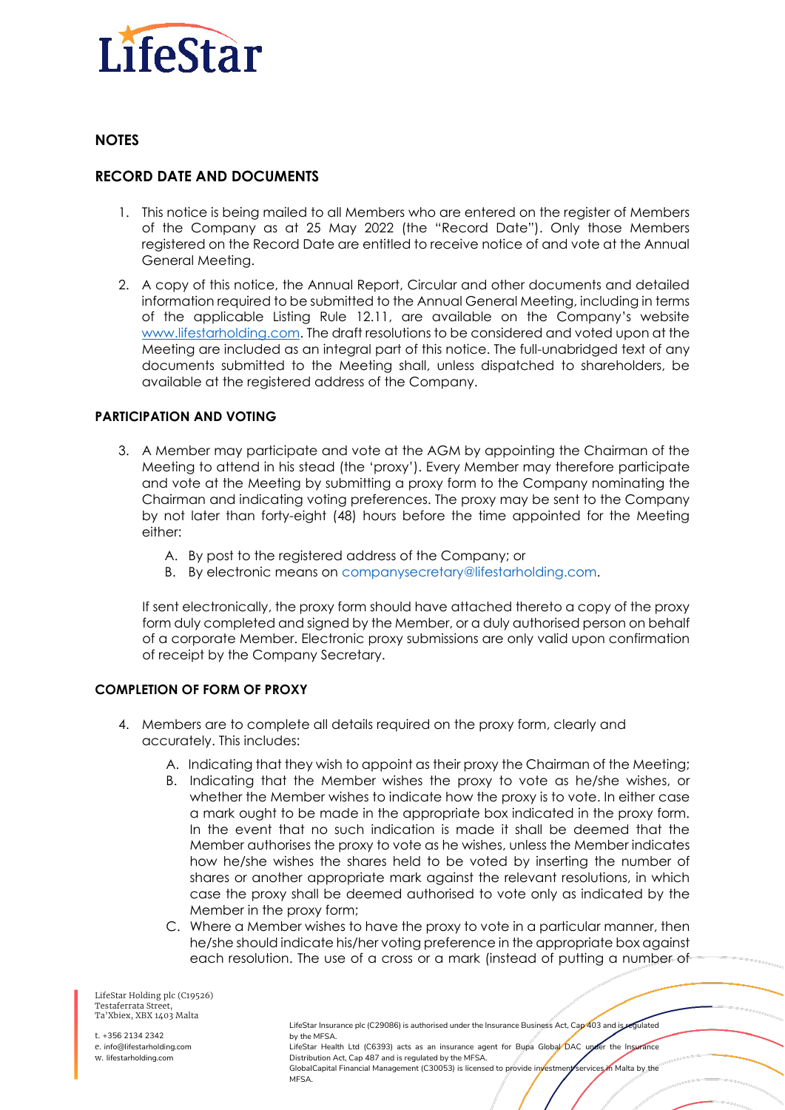

# **NOTES**

# **RECORD DATE AND DOCUMENTS**

- 1. This notice is being mailed to all Members who are entered on the register of Members of the Company as at 25 May 2022 (the "Record Date"). Only those Members registered on the Record Date are entitled to receive notice of and vote at the Annual General Meeting.
- 2. A copy of this notice, the Annual Report, Circular and other documents and detailed information required to be submitted to the Annual General Meeting, including in terms of the applicable Listing Rule 12.11, are available on the Company's website [www.lifestarholding.com.](http://www.lifestarholding.com/) The draft resolutions to be considered and voted upon at the Meeting are included as an integral part of this notice. The full-unabridged text of any documents submitted to the Meeting shall, unless dispatched to shareholders, be available at the registered address of the Company.

### **PARTICIPATION AND VOTING**

- 3. A Member may participate and vote at the AGM by appointing the Chairman of the Meeting to attend in his stead (the 'proxy'). Every Member may therefore participate and vote at the Meeting by submitting a proxy form to the Company nominating the Chairman and indicating voting preferences. The proxy may be sent to the Company by not later than forty-eight (48) hours before the time appointed for the Meeting either:
	- A. By post to the registered address of the Company; or
	- B. By electronic means on companysecretary@lifestarholding.com.

If sent electronically, the proxy form should have attached thereto a copy of the proxy form duly completed and signed by the Member, or a duly authorised person on behalf of a corporate Member. Electronic proxy submissions are only valid upon confirmation of receipt by the Company Secretary.

## **COMPLETION OF FORM OF PROXY**

- 4. Members are to complete all details required on the proxy form, clearly and accurately. This includes:
	- A. Indicating that they wish to appoint as their proxy the Chairman of the Meeting;
	- B. Indicating that the Member wishes the proxy to vote as he/she wishes, or whether the Member wishes to indicate how the proxy is to vote. In either case a mark ought to be made in the appropriate box indicated in the proxy form. In the event that no such indication is made it shall be deemed that the Member authorises the proxy to vote as he wishes, unless the Member indicates how he/she wishes the shares held to be voted by inserting the number of shares or another appropriate mark against the relevant resolutions, in which case the proxy shall be deemed authorised to vote only as indicated by the Member in the proxy form;
	- C. Where a Member wishes to have the proxy to vote in a particular manner, then he/she should indicate his/her voting preference in the appropriate box against each resolution. The use of a cross or a mark (instead of putting a number-of

LifeStar Holding plc (C19526) Testaferrata Street, Ta'Xbiex, XBX 1403 Malta

t. +356 2134 2342 e. info@lifestarholding.com w. lifestarholding.com

LifeStar Insurance plc (C29086) is authorised under the Insurance Business Act, Cap 403 and is regulated by the MFSA. LifeStar Health Ltd (C6393) acts as an insurance agent for Bupa Global DAC under the Insurance Distribution Act, Cap 487 and is regulated by the MFSA. GlobalCapital Financial Management (C30053) is licensed to provide investment services in Malta by the **MFSA**